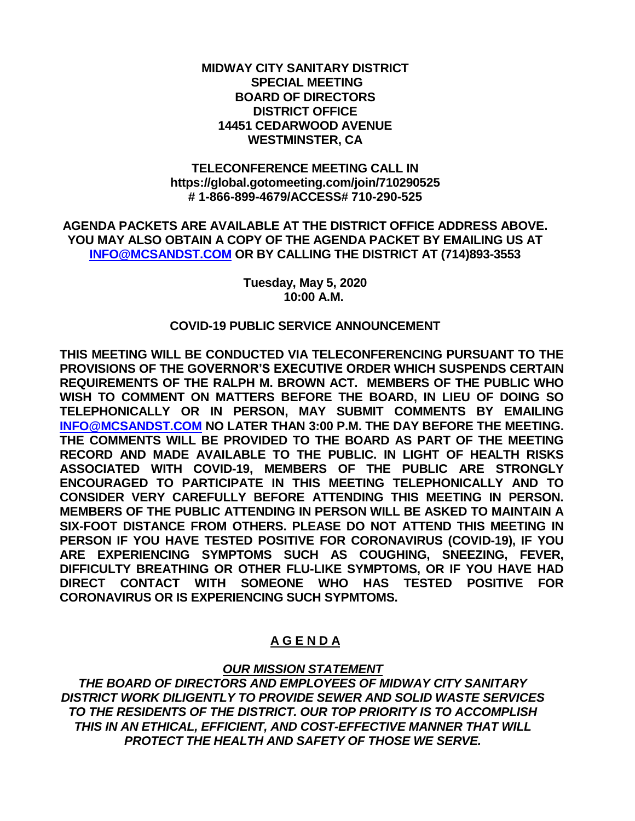#### **MIDWAY CITY SANITARY DISTRICT SPECIAL MEETING BOARD OF DIRECTORS DISTRICT OFFICE 14451 CEDARWOOD AVENUE WESTMINSTER, CA**

#### **TELECONFERENCE MEETING CALL IN https://global.gotomeeting.com/join/710290525 # 1-866-899-4679/ACCESS# 710-290-525**

**AGENDA PACKETS ARE AVAILABLE AT THE DISTRICT OFFICE ADDRESS ABOVE. YOU MAY ALSO OBTAIN A COPY OF THE AGENDA PACKET BY EMAILING US AT [INFO@MCSANDST.COM](mailto:INFO@MCSANDST.COM) OR BY CALLING THE DISTRICT AT (714)893-3553**

> **Tuesday, May 5, 2020 10:00 A.M.**

#### **COVID-19 PUBLIC SERVICE ANNOUNCEMENT**

**THIS MEETING WILL BE CONDUCTED VIA TELECONFERENCING PURSUANT TO THE PROVISIONS OF THE GOVERNOR'S EXECUTIVE ORDER WHICH SUSPENDS CERTAIN REQUIREMENTS OF THE RALPH M. BROWN ACT. MEMBERS OF THE PUBLIC WHO WISH TO COMMENT ON MATTERS BEFORE THE BOARD, IN LIEU OF DOING SO TELEPHONICALLY OR IN PERSON, MAY SUBMIT COMMENTS BY EMAILING [INFO@MCSANDST.COM](mailto:INFO@MCSANDST.COM) NO LATER THAN 3:00 P.M. THE DAY BEFORE THE MEETING. THE COMMENTS WILL BE PROVIDED TO THE BOARD AS PART OF THE MEETING RECORD AND MADE AVAILABLE TO THE PUBLIC. IN LIGHT OF HEALTH RISKS ASSOCIATED WITH COVID-19, MEMBERS OF THE PUBLIC ARE STRONGLY ENCOURAGED TO PARTICIPATE IN THIS MEETING TELEPHONICALLY AND TO CONSIDER VERY CAREFULLY BEFORE ATTENDING THIS MEETING IN PERSON. MEMBERS OF THE PUBLIC ATTENDING IN PERSON WILL BE ASKED TO MAINTAIN A SIX-FOOT DISTANCE FROM OTHERS. PLEASE DO NOT ATTEND THIS MEETING IN PERSON IF YOU HAVE TESTED POSITIVE FOR CORONAVIRUS (COVID-19), IF YOU ARE EXPERIENCING SYMPTOMS SUCH AS COUGHING, SNEEZING, FEVER, DIFFICULTY BREATHING OR OTHER FLU-LIKE SYMPTOMS, OR IF YOU HAVE HAD DIRECT CONTACT WITH SOMEONE WHO HAS TESTED POSITIVE FOR CORONAVIRUS OR IS EXPERIENCING SUCH SYPMTOMS.** 

# **A G E N D A**

## *OUR MISSION STATEMENT*

*THE BOARD OF DIRECTORS AND EMPLOYEES OF MIDWAY CITY SANITARY DISTRICT WORK DILIGENTLY TO PROVIDE SEWER AND SOLID WASTE SERVICES TO THE RESIDENTS OF THE DISTRICT. OUR TOP PRIORITY IS TO ACCOMPLISH THIS IN AN ETHICAL, EFFICIENT, AND COST-EFFECTIVE MANNER THAT WILL PROTECT THE HEALTH AND SAFETY OF THOSE WE SERVE.*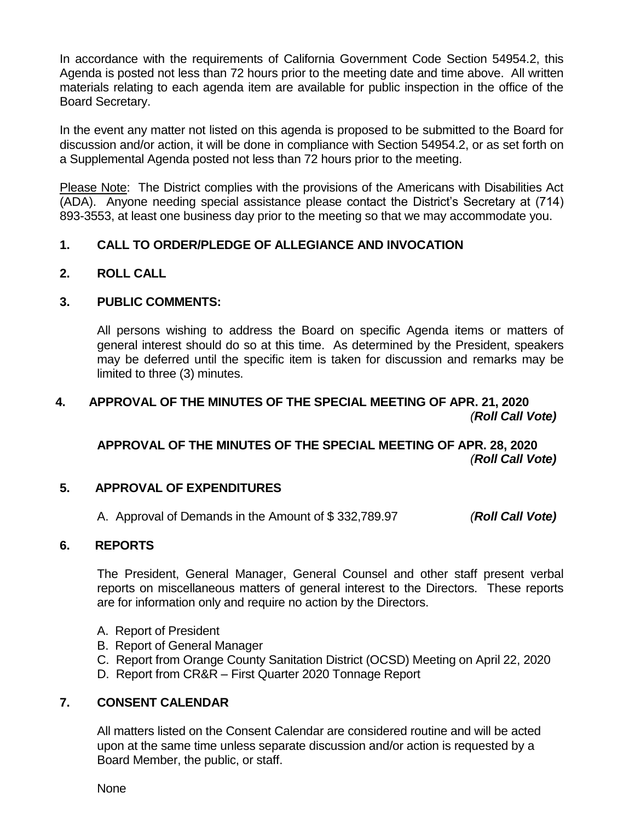In accordance with the requirements of California Government Code Section 54954.2, this Agenda is posted not less than 72 hours prior to the meeting date and time above. All written materials relating to each agenda item are available for public inspection in the office of the Board Secretary.

In the event any matter not listed on this agenda is proposed to be submitted to the Board for discussion and/or action, it will be done in compliance with Section 54954.2, or as set forth on a Supplemental Agenda posted not less than 72 hours prior to the meeting.

Please Note: The District complies with the provisions of the Americans with Disabilities Act (ADA). Anyone needing special assistance please contact the District's Secretary at (714) 893-3553, at least one business day prior to the meeting so that we may accommodate you.

# **1. CALL TO ORDER/PLEDGE OF ALLEGIANCE AND INVOCATION**

**2. ROLL CALL**

## **3. PUBLIC COMMENTS:**

All persons wishing to address the Board on specific Agenda items or matters of general interest should do so at this time. As determined by the President, speakers may be deferred until the specific item is taken for discussion and remarks may be limited to three (3) minutes.

## **4. APPROVAL OF THE MINUTES OF THE SPECIAL MEETING OF APR. 21, 2020** *(Roll Call Vote)*

**APPROVAL OF THE MINUTES OF THE SPECIAL MEETING OF APR. 28, 2020** *(Roll Call Vote)*

## **5. APPROVAL OF EXPENDITURES**

A. Approval of Demands in the Amount of \$ 332,789.97 *(Roll Call Vote)*

## **6. REPORTS**

The President, General Manager, General Counsel and other staff present verbal reports on miscellaneous matters of general interest to the Directors. These reports are for information only and require no action by the Directors.

- A. Report of President
- B. Report of General Manager
- C. Report from Orange County Sanitation District (OCSD) Meeting on April 22, 2020
- D. Report from CR&R First Quarter 2020 Tonnage Report

## **7. CONSENT CALENDAR**

All matters listed on the Consent Calendar are considered routine and will be acted upon at the same time unless separate discussion and/or action is requested by a Board Member, the public, or staff.

None